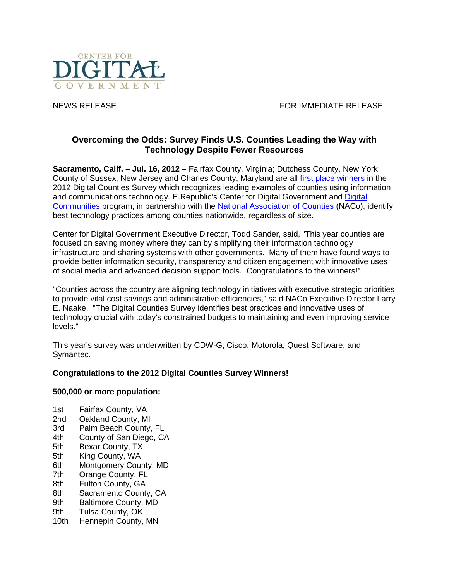

NEWS RELEASE FOR IMMEDIATE RELEASE

# **Overcoming the Odds: Survey Finds U.S. Counties Leading the Way with Technology Despite Fewer Resources**

**Sacramento, Calif. – Jul. 16, 2012 –** Fairfax County, Virginia; Dutchess County, New York; County of Sussex, New Jersey and Charles County, Maryland are all [first place winners](http://www.govtech.com/e-government/2012-Digital-Counties-Survey-Winners-Announced.html) in the 2012 Digital Counties Survey which recognizes leading examples of counties using information and communications technology. E.Republic's Center for Digital Government and [Digital](http://www.digitalcommunities.com/survey/counties)  [Communities](http://www.digitalcommunities.com/survey/counties) program, in partnership with the [National Association of Counties](http://www.naco.org/) (NACo), identify best technology practices among counties nationwide, regardless of size.

Center for Digital Government Executive Director, Todd Sander, said, "This year counties are focused on saving money where they can by simplifying their information technology infrastructure and sharing systems with other governments. Many of them have found ways to provide better information security, transparency and citizen engagement with innovative uses of social media and advanced decision support tools. Congratulations to the winners!"

"Counties across the country are aligning technology initiatives with executive strategic priorities to provide vital cost savings and administrative efficiencies," said NACo Executive Director Larry E. Naake. "The Digital Counties Survey identifies best practices and innovative uses of technology crucial with today's constrained budgets to maintaining and even improving service levels."

This year's survey was underwritten by CDW-G; Cisco; Motorola; Quest Software; and Symantec.

# **Congratulations to the 2012 Digital Counties Survey Winners!**

## **500,000 or more population:**

- 1st Fairfax County, VA
- 2nd Oakland County, MI
- 3rd Palm Beach County, FL
- 4th County of San Diego, CA
- 5th Bexar County, TX
- 5th King County, WA
- 6th Montgomery County, MD
- 7th Orange County, FL
- 8th Fulton County, GA
- 8th Sacramento County, CA
- 9th Baltimore County, MD
- 9th Tulsa County, OK
- 10th Hennepin County, MN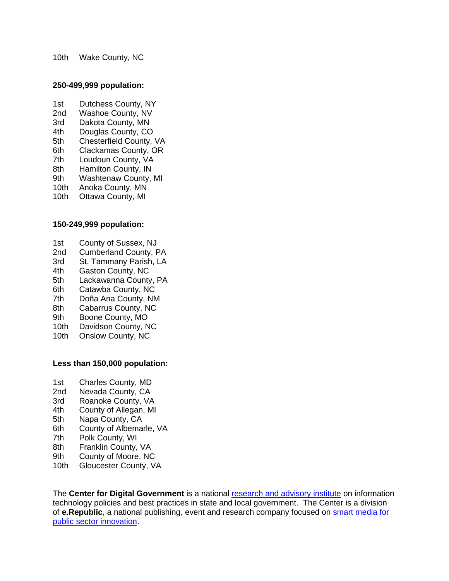10th Wake County, NC

#### **250-499,999 population:**

- 1st Dutchess County, NY
- 2nd Washoe County, NV
- 3rd Dakota County, MN
- 4th Douglas County, CO<br>5th Chesterfield County.
- 5th Chesterfield County, VA<br>6th Clackamas County, OR
- Clackamas County, OR
- 7th Loudoun County, VA
- 8th Hamilton County, IN
- 9th Washtenaw County, MI
- 10th Anoka County, MN
- 10th Ottawa County, MI

### **150-249,999 population:**

- 1st County of Sussex, NJ
- 2nd Cumberland County, PA
- 3rd St. Tammany Parish, LA<br>4th Gaston County. NC
- 4th Gaston County, NC<br>5th Lackawanna County
- Lackawanna County, PA
- 6th Catawba County, NC
- 7th Doña Ana County, NM
- 8th Cabarrus County, NC
- 9th Boone County, MO
- 10th Davidson County, NC
- 10th Onslow County, NC

### **Less than 150,000 population:**

- 1st Charles County, MD
- 2nd Nevada County, CA
- 3rd Roanoke County, VA<br>4th County of Allegan, MI
- County of Allegan, MI
- 5th Napa County, CA
- 6th County of Albemarle, VA
- 7th Polk County, WI
- 8th Franklin County, VA<br>9th County of Moore, NC
- County of Moore, NC
- 10th Gloucester County, VA

The **Center for Digital Government** is a national [research and advisory institute](http://www.centerdigitalgov.com/) on information technology policies and best practices in state and local government. The Center is a division of **e.Republic**, a national publishing, event and research company focused on [smart media for](http://www.erepublic.com/)  [public sector innovation.](http://www.erepublic.com/)